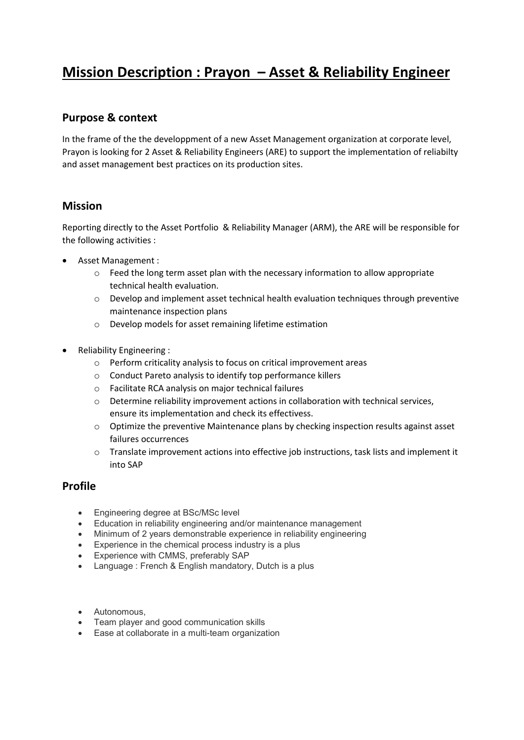# Mission Description : Prayon – Asset & Reliability Engineer

## Purpose & context

In the frame of the the developpment of a new Asset Management organization at corporate level, Prayon is looking for 2 Asset & Reliability Engineers (ARE) to support the implementation of reliabilty and asset management best practices on its production sites.

#### Mission

Reporting directly to the Asset Portfolio & Reliability Manager (ARM), the ARE will be responsible for the following activities :

- Asset Management :
	- $\circ$  Feed the long term asset plan with the necessary information to allow appropriate technical health evaluation.
	- o Develop and implement asset technical health evaluation techniques through preventive maintenance inspection plans
	- o Develop models for asset remaining lifetime estimation
- Reliability Engineering :
	- o Perform criticality analysis to focus on critical improvement areas
	- o Conduct Pareto analysis to identify top performance killers
	- o Facilitate RCA analysis on major technical failures
	- o Determine reliability improvement actions in collaboration with technical services, ensure its implementation and check its effectivess.
	- $\circ$  Optimize the preventive Maintenance plans by checking inspection results against asset failures occurrences
	- o Translate improvement actions into effective job instructions, task lists and implement it into SAP

#### Profile

- Engineering degree at BSc/MSc level
- Education in reliability engineering and/or maintenance management
- Minimum of 2 years demonstrable experience in reliability engineering
- Experience in the chemical process industry is a plus
- Experience with CMMS, preferably SAP
- Language : French & English mandatory, Dutch is a plus
- Autonomous,
- Team player and good communication skills
- Ease at collaborate in a multi-team organization